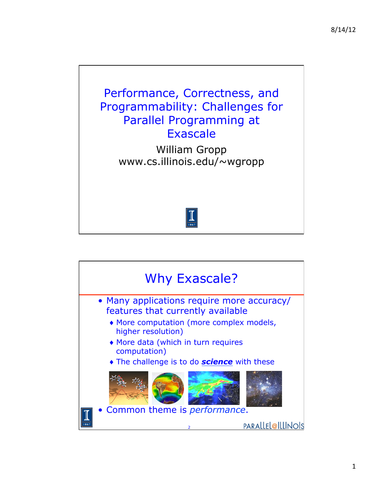

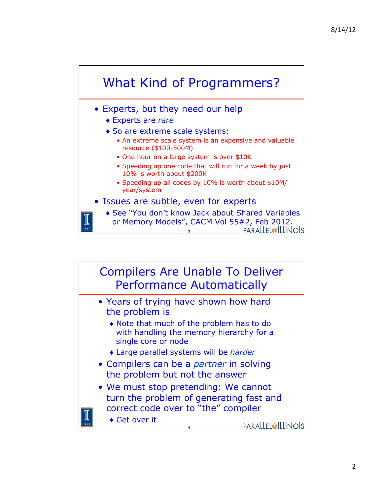

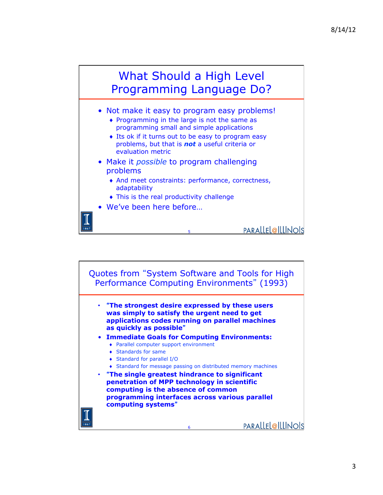

- Not make it easy to program easy problems!
	- ♦ Programming in the large is not the same as programming small and simple applications
	- ♦ Its ok if it turns out to be easy to program easy problems, but that is *not* a useful criteria or evaluation metric
- Make it *possible* to program challenging problems
	- ♦ And meet constraints: performance, correctness, adaptability

5

- ♦ This is the real productivity challenge
- We've been here before…

**computing systems**"

PARALLEL@ILLINOIS



6

**programming interfaces across various parallel** 

**PARALLEL@ILLINOIS**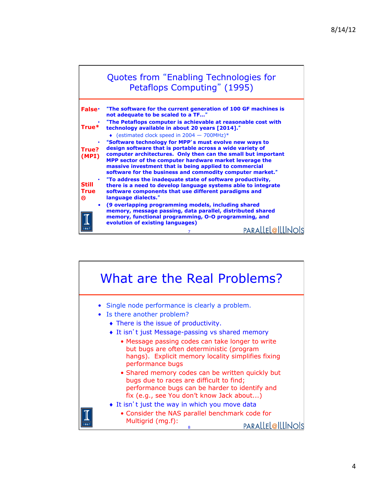

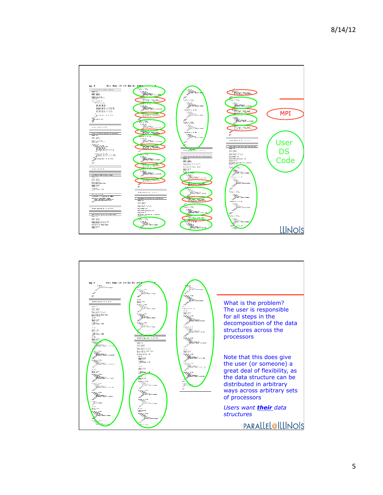

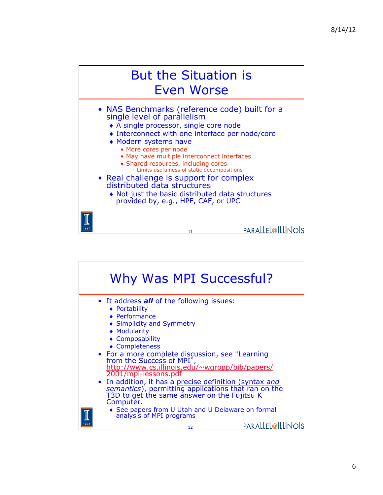

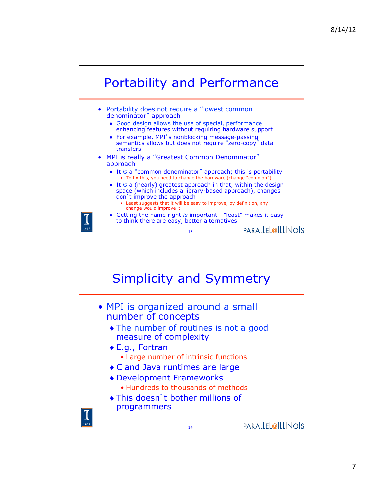

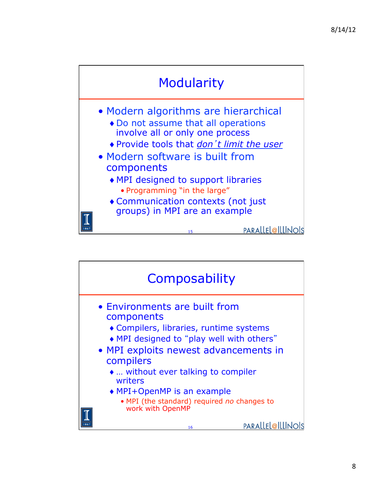

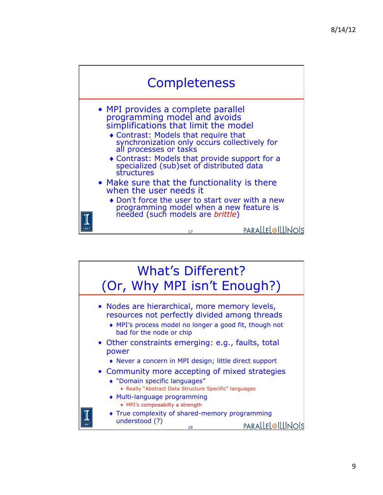

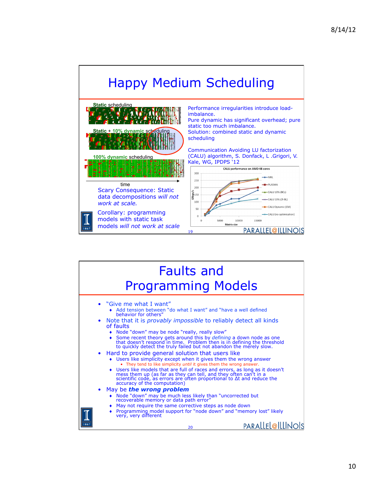

| <b>Faults and</b><br><b>Programming Models</b>                                                                                                                                                                                                                                                                                                                                                                                                                                                                                                                                                                                                                                                                                                                                                                                                                                                                                                                                                                                                                                                                                                                                                                                                                                    |
|-----------------------------------------------------------------------------------------------------------------------------------------------------------------------------------------------------------------------------------------------------------------------------------------------------------------------------------------------------------------------------------------------------------------------------------------------------------------------------------------------------------------------------------------------------------------------------------------------------------------------------------------------------------------------------------------------------------------------------------------------------------------------------------------------------------------------------------------------------------------------------------------------------------------------------------------------------------------------------------------------------------------------------------------------------------------------------------------------------------------------------------------------------------------------------------------------------------------------------------------------------------------------------------|
| $\bullet$ "Give me what I want"<br>Add tension between "do what I want" and "have a well defined<br>behavior for others"<br>• Note that it is <i>provably impossible</i> to reliably detect all kinds<br>of faults<br>Node "down" may be node "really, really slow"<br>Some recent theory gets around this by <i>defining</i> a down node as one that doesn't respond in time. Problem then is in defining the threshold to quickly detect the truly failed but not abandon the merely slow.<br>$\bullet$<br>• Hard to provide general solution that users like<br>• Users like simplicity except when it gives them the wrong answer<br>• They tend to like simplicity <i>until</i> it gives them the wrong answer.<br>Users like models that are full of races and errors, as long as it doesn't mess them up (as far as they can tell, and they often can't in a scientific code, as errors are often proportional to $\Delta t$ and reduce the<br>٠<br>accuracy of the computation)<br>May be the wrong problem<br>• Node "down" may be much less likely than "uncorrected but recoverable memory or data path error"<br>May not require the same corrective steps as node down<br>Programming model support for "node down" and "memory lost" likely<br>very, very different |
| PARALLEL@ILLI<br>20                                                                                                                                                                                                                                                                                                                                                                                                                                                                                                                                                                                                                                                                                                                                                                                                                                                                                                                                                                                                                                                                                                                                                                                                                                                               |